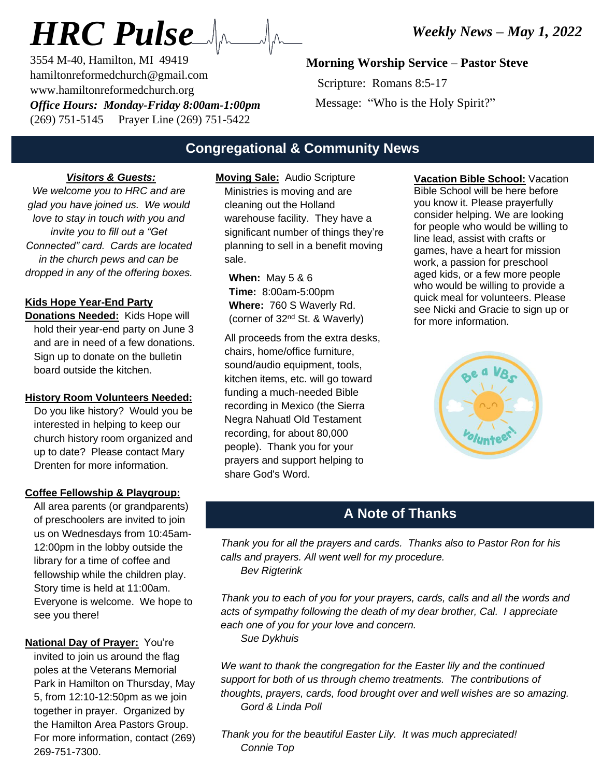# *HRC Pulse*

3554 M-40, Hamilton, MI 49419 hamiltonreformedchurch@gmail.com www.hamiltonreformedchurch.org *Office Hours: Monday-Friday 8:00am-1:00pm* (269) 751-5145 Prayer Line (269) 751-5422

## **Morning Worship Service – Pastor Steve**

 Scripture: Romans 8:5-17 Message: "Who is the Holy Spirit?"

# **Congregational & Community News**

#### *Visitors & Guests:*

*We welcome you to HRC and are glad you have joined us. We would love to stay in touch with you and invite you to fill out a "Get Connected" card. Cards are located in the church pews and can be dropped in any of the offering boxes.*

#### **Kids Hope Year-End Party**

**Donations Needed:** Kids Hope will hold their year-end party on June 3 and are in need of a few donations. Sign up to donate on the bulletin board outside the kitchen.

#### **History Room Volunteers Needed:**

Do you like history? Would you be interested in helping to keep our church history room organized and up to date? Please contact Mary Drenten for more information.

#### **Coffee Fellowship & Playgroup:**

All area parents (or grandparents) of preschoolers are invited to join us on Wednesdays from 10:45am-12:00pm in the lobby outside the library for a time of coffee and fellowship while the children play. Story time is held at 11:00am. Everyone is welcome. We hope to see you there!

**National Day of Prayer:** You're invited to join us around the flag poles at the Veterans Memorial Park in Hamilton on Thursday, May 5, from 12:10-12:50pm as we join together in prayer. Organized by the Hamilton Area Pastors Group. For more information, contact (269) 269-751-7300.

**Moving Sale:** Audio Scripture Ministries is moving and are cleaning out the Holland warehouse facility. They have a significant number of things they're planning to sell in a benefit moving sale.

**When:** May 5 & 6 **Time:** 8:00am-5:00pm **Where:** 760 S Waverly Rd. (corner of 32nd St. & Waverly)

All proceeds from the extra desks, chairs, home/office furniture, sound/audio equipment, tools, kitchen items, etc. will go toward funding a much-needed Bible recording in Mexico (the Sierra Negra Nahuatl Old Testament recording, for about 80,000 people). Thank you for your prayers and support helping to share God's Word.

**Vacation Bible School:** Vacation Bible School will be here before you know it. Please prayerfully consider helping. We are looking for people who would be willing to line lead, assist with crafts or games, have a heart for mission work, a passion for preschool aged kids, or a few more people who would be willing to provide a quick meal for volunteers. Please see Nicki and Gracie to sign up or for more information.



# **A Note of Thanks**

*Thank you for all the prayers and cards. Thanks also to Pastor Ron for his calls and prayers. All went well for my procedure. Bev Rigterink*

*Thank you to each of you for your prayers, cards, calls and all the words and acts of sympathy following the death of my dear brother, Cal. I appreciate each one of you for your love and concern. Sue Dykhuis*

*We want to thank the congregation for the Easter lily and the continued support for both of us through chemo treatments. The contributions of thoughts, prayers, cards, food brought over and well wishes are so amazing. Gord & Linda Poll* 

*Thank you for the beautiful Easter Lily. It was much appreciated! Connie Top*